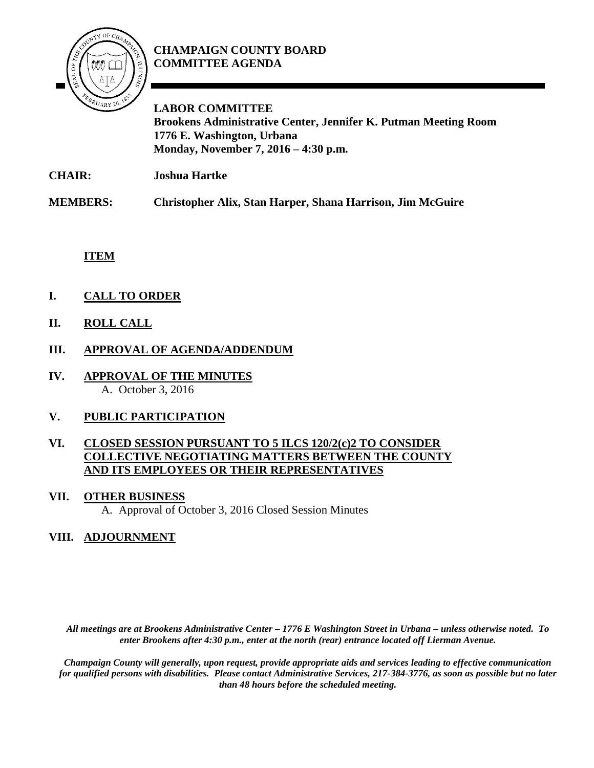

# **CHAMPAIGN COUNTY BOARD COMMITTEE AGENDA**

**LABOR COMMITTEE Brookens Administrative Center, Jennifer K. Putman Meeting Room 1776 E. Washington, Urbana Monday, November 7, 2016 – 4:30 p.m.**

**CHAIR: Joshua Hartke**

**MEMBERS: Christopher Alix, Stan Harper, Shana Harrison, Jim McGuire**

**ITEM**

- **I. CALL TO ORDER**
- **II. ROLL CALL**
- **III. APPROVAL OF AGENDA/ADDENDUM**
- **IV. APPROVAL OF THE MINUTES** A. October 3, 2016

## **V. PUBLIC PARTICIPATION**

### **VI. CLOSED SESSION PURSUANT TO 5 ILCS 120/2(c)2 TO CONSIDER COLLECTIVE NEGOTIATING MATTERS BETWEEN THE COUNTY AND ITS EMPLOYEES OR THEIR REPRESENTATIVES**

#### **VII. OTHER BUSINESS**

A. Approval of October 3, 2016 Closed Session Minutes

## **VIII. ADJOURNMENT**

*All meetings are at Brookens Administrative Center – 1776 E Washington Street in Urbana – unless otherwise noted. To enter Brookens after 4:30 p.m., enter at the north (rear) entrance located off Lierman Avenue.* 

*Champaign County will generally, upon request, provide appropriate aids and services leading to effective communication for qualified persons with disabilities. Please contact Administrative Services, 217-384-3776, as soon as possible but no later than 48 hours before the scheduled meeting.*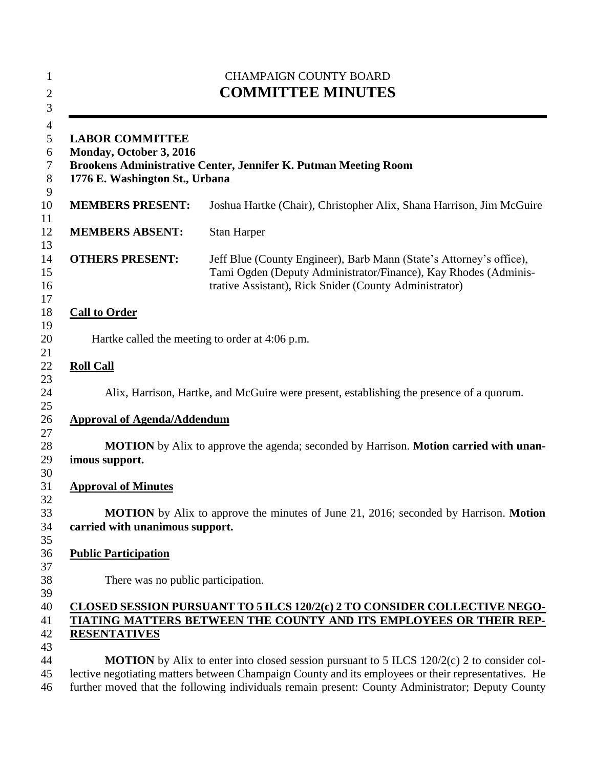| <b>CHAMPAIGN COUNTY BOARD</b><br><b>COMMITTEE MINUTES</b><br><b>LABOR COMMITTEE</b><br>Monday, October 3, 2016<br>Brookens Administrative Center, Jennifer K. Putman Meeting Room<br>1776 E. Washington St., Urbana |                                                                                                                                                                                                                                                                                                                  |
|---------------------------------------------------------------------------------------------------------------------------------------------------------------------------------------------------------------------|------------------------------------------------------------------------------------------------------------------------------------------------------------------------------------------------------------------------------------------------------------------------------------------------------------------|
|                                                                                                                                                                                                                     |                                                                                                                                                                                                                                                                                                                  |
| <b>MEMBERS ABSENT:</b>                                                                                                                                                                                              | <b>Stan Harper</b>                                                                                                                                                                                                                                                                                               |
| <b>OTHERS PRESENT:</b>                                                                                                                                                                                              | Jeff Blue (County Engineer), Barb Mann (State's Attorney's office),<br>Tami Ogden (Deputy Administrator/Finance), Kay Rhodes (Adminis-<br>trative Assistant), Rick Snider (County Administrator)                                                                                                                 |
| <b>Call to Order</b>                                                                                                                                                                                                |                                                                                                                                                                                                                                                                                                                  |
|                                                                                                                                                                                                                     | Hartke called the meeting to order at 4:06 p.m.                                                                                                                                                                                                                                                                  |
| <b>Roll Call</b>                                                                                                                                                                                                    |                                                                                                                                                                                                                                                                                                                  |
|                                                                                                                                                                                                                     | Alix, Harrison, Hartke, and McGuire were present, establishing the presence of a quorum.                                                                                                                                                                                                                         |
| <b>Approval of Agenda/Addendum</b>                                                                                                                                                                                  |                                                                                                                                                                                                                                                                                                                  |
| imous support.                                                                                                                                                                                                      | <b>MOTION</b> by Alix to approve the agenda; seconded by Harrison. <b>Motion carried with unan-</b>                                                                                                                                                                                                              |
| <b>Approval of Minutes</b>                                                                                                                                                                                          |                                                                                                                                                                                                                                                                                                                  |
| carried with unanimous support.                                                                                                                                                                                     | <b>MOTION</b> by Alix to approve the minutes of June 21, 2016; seconded by Harrison. <b>Motion</b>                                                                                                                                                                                                               |
| <b>Public Participation</b>                                                                                                                                                                                         |                                                                                                                                                                                                                                                                                                                  |
| There was no public participation.                                                                                                                                                                                  |                                                                                                                                                                                                                                                                                                                  |
| <b>RESENTATIVES</b>                                                                                                                                                                                                 | CLOSED SESSION PURSUANT TO 5 ILCS 120/2(c) 2 TO CONSIDER COLLECTIVE NEGO-<br>TIATING MATTERS BETWEEN THE COUNTY AND ITS EMPLOYEES OR THEIR REP-                                                                                                                                                                  |
|                                                                                                                                                                                                                     | <b>MOTION</b> by Alix to enter into closed session pursuant to $5$ ILCS $120/2(c)$ 2 to consider col-<br>lective negotiating matters between Champaign County and its employees or their representatives. He<br>further moved that the following individuals remain present: County Administrator; Deputy County |